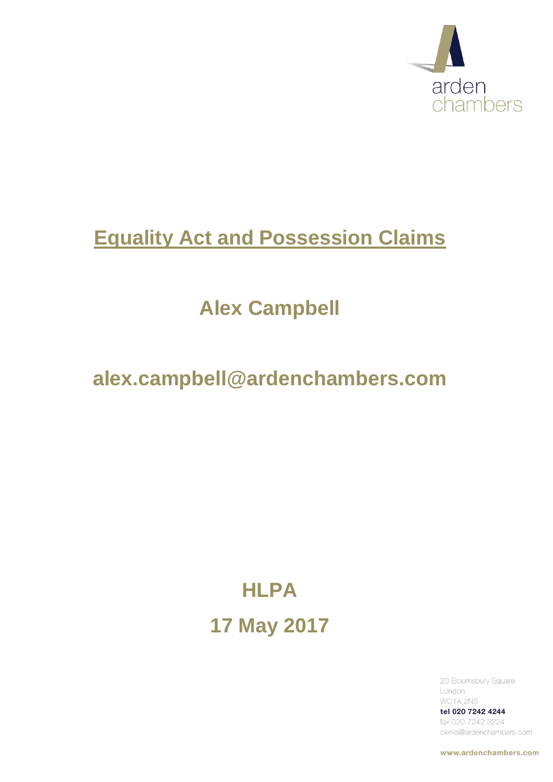

# **Equality Act and Possession Claims**

# **Alex Campbell**

# **alex.campbell@ardenchambers.com**

# **HLPA 17 May 2017**

20 Bloomsbury Square London WC1A 2NS

tel 020 7242 4244 fax 020 7242 3224 clerks@ardenchambers.com

www.ardenchambers.com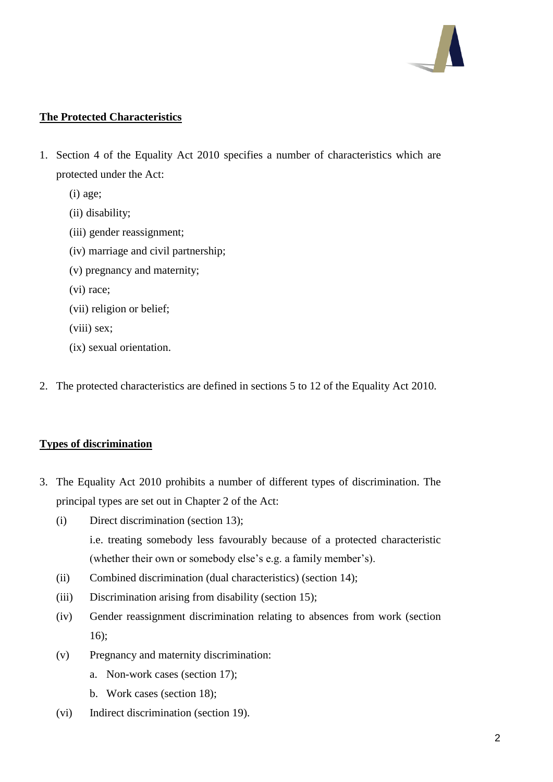

# **The Protected Characteristics**

- 1. Section 4 of the Equality Act 2010 specifies a number of characteristics which are protected under the Act:
	- (i) age;
	- (ii) disability;
	- (iii) gender reassignment;
	- (iv) marriage and civil partnership;
	- (v) pregnancy and maternity;
	- (vi) race;
	- (vii) religion or belief;
	- (viii) sex;
	- (ix) sexual orientation.
- 2. The protected characteristics are defined in sections 5 to 12 of the Equality Act 2010.

# **Types of discrimination**

- 3. The Equality Act 2010 prohibits a number of different types of discrimination. The principal types are set out in Chapter 2 of the Act:
	- (i) Direct discrimination (section 13); i.e. treating somebody less favourably because of a protected characteristic (whether their own or somebody else's e.g. a family member's).
	- (ii) Combined discrimination (dual characteristics) (section 14);
	- (iii) Discrimination arising from disability (section 15);
	- (iv) Gender reassignment discrimination relating to absences from work (section 16);
	- (v) Pregnancy and maternity discrimination:
		- a. Non-work cases (section 17);
		- b. Work cases (section 18);
	- (vi) Indirect discrimination (section 19).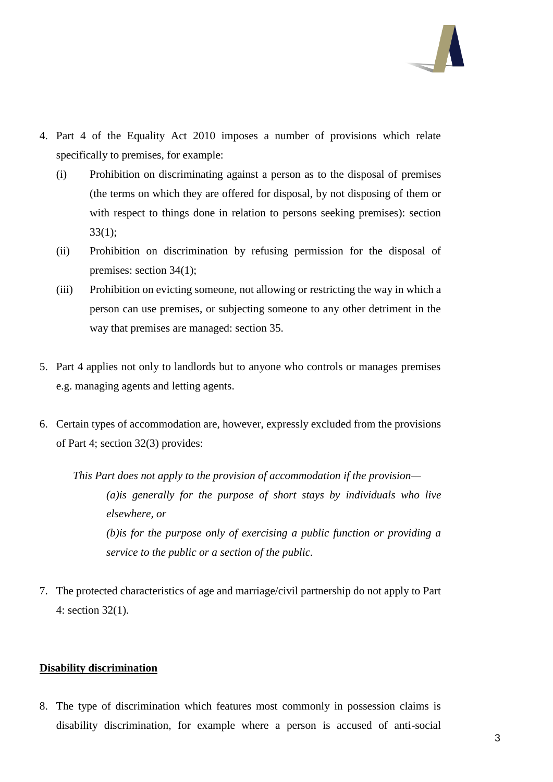

- 4. Part 4 of the Equality Act 2010 imposes a number of provisions which relate specifically to premises, for example:
	- (i) Prohibition on discriminating against a person as to the disposal of premises (the terms on which they are offered for disposal, by not disposing of them or with respect to things done in relation to persons seeking premises): section 33(1);
	- (ii) Prohibition on discrimination by refusing permission for the disposal of premises: section 34(1);
	- (iii) Prohibition on evicting someone, not allowing or restricting the way in which a person can use premises, or subjecting someone to any other detriment in the way that premises are managed: section 35.
- 5. Part 4 applies not only to landlords but to anyone who controls or manages premises e.g. managing agents and letting agents.
- 6. Certain types of accommodation are, however, expressly excluded from the provisions of Part 4; section 32(3) provides:

*This Part does not apply to the provision of accommodation if the provision— (a)is generally for the purpose of short stays by individuals who live elsewhere, or (b)is for the purpose only of exercising a public function or providing a service to the public or a section of the public.*

7. The protected characteristics of age and marriage/civil partnership do not apply to Part 4: section 32(1).

# **Disability discrimination**

8. The type of discrimination which features most commonly in possession claims is disability discrimination, for example where a person is accused of anti-social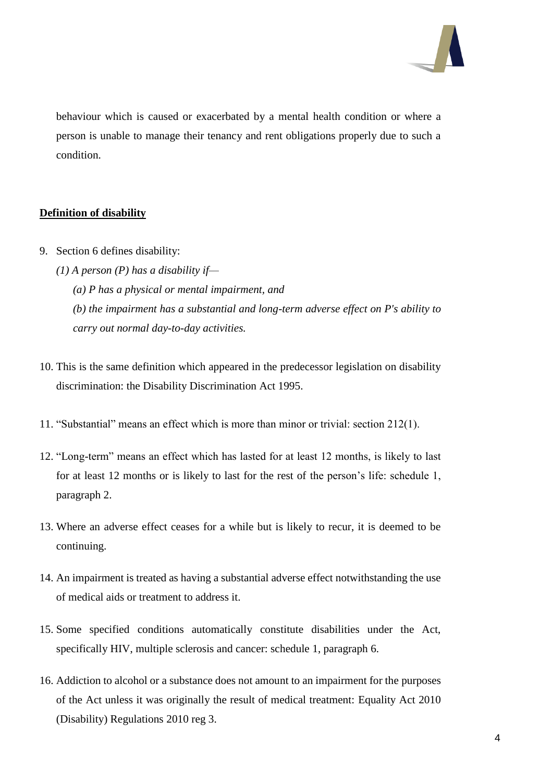

behaviour which is caused or exacerbated by a mental health condition or where a person is unable to manage their tenancy and rent obligations properly due to such a condition.

## **Definition of disability**

- 9. Section 6 defines disability:
	- *(1) A person (P) has a disability if— (a) P has a physical or mental impairment, and (b) the impairment has a substantial and long-term adverse effect on P's ability to carry out normal day-to-day activities.*
- 10. This is the same definition which appeared in the predecessor legislation on disability discrimination: the Disability Discrimination Act 1995.
- 11. "Substantial" means an effect which is more than minor or trivial: section 212(1).
- 12. "Long-term" means an effect which has lasted for at least 12 months, is likely to last for at least 12 months or is likely to last for the rest of the person's life: schedule 1, paragraph 2.
- 13. Where an adverse effect ceases for a while but is likely to recur, it is deemed to be continuing.
- 14. An impairment is treated as having a substantial adverse effect notwithstanding the use of medical aids or treatment to address it.
- 15. Some specified conditions automatically constitute disabilities under the Act, specifically HIV, multiple sclerosis and cancer: schedule 1, paragraph 6.
- 16. Addiction to alcohol or a substance does not amount to an impairment for the purposes of the Act unless it was originally the result of medical treatment: Equality Act 2010 (Disability) Regulations 2010 reg 3.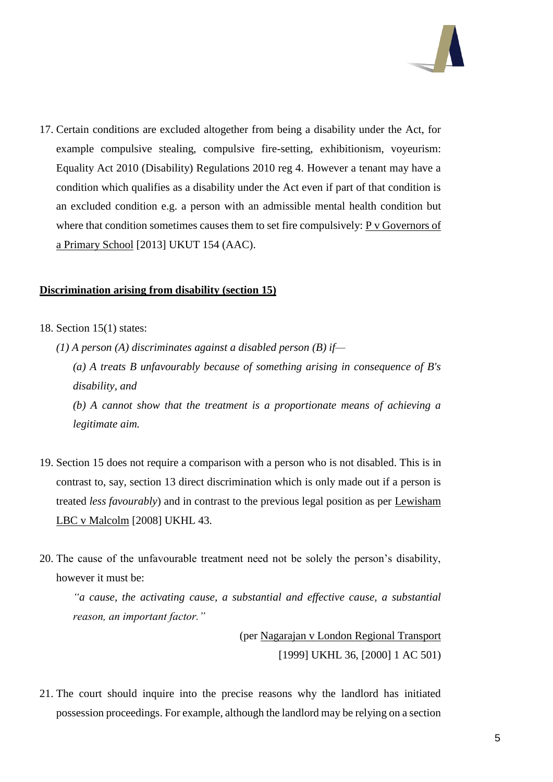

17. Certain conditions are excluded altogether from being a disability under the Act, for example compulsive stealing, compulsive fire-setting, exhibitionism, voyeurism: Equality Act 2010 (Disability) Regulations 2010 reg 4. However a tenant may have a condition which qualifies as a disability under the Act even if part of that condition is an excluded condition e.g. a person with an admissible mental health condition but where that condition sometimes causes them to set fire compulsively: P v Governors of a Primary School [2013] UKUT 154 (AAC).

#### **Discrimination arising from disability (section 15)**

18. Section 15(1) states:

*legitimate aim.*

- *(1) A person (A) discriminates against a disabled person (B) if— (a) A treats B unfavourably because of something arising in consequence of B's disability, and (b) A cannot show that the treatment is a proportionate means of achieving a*
- 19. Section 15 does not require a comparison with a person who is not disabled. This is in contrast to, say, section 13 direct discrimination which is only made out if a person is treated *less favourably*) and in contrast to the previous legal position as per Lewisham LBC v Malcolm [2008] UKHL 43.
- 20. The cause of the unfavourable treatment need not be solely the person's disability, however it must be:

*"a cause, the activating cause, a substantial and effective cause, a substantial reason, an important factor."*

> (per Nagarajan v London Regional Transport [1999] UKHL 36, [2000] 1 AC 501)

21. The court should inquire into the precise reasons why the landlord has initiated possession proceedings. For example, although the landlord may be relying on a section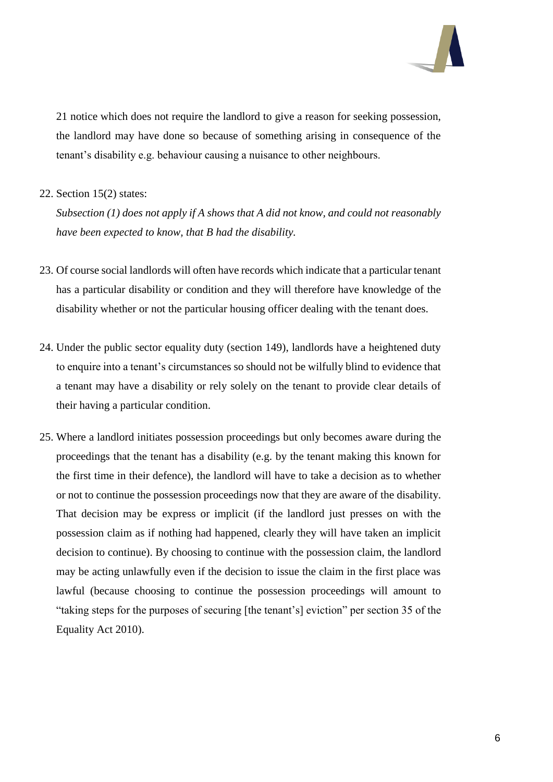

21 notice which does not require the landlord to give a reason for seeking possession, the landlord may have done so because of something arising in consequence of the tenant's disability e.g. behaviour causing a nuisance to other neighbours.

### 22. Section 15(2) states:

*Subsection (1) does not apply if A shows that A did not know, and could not reasonably have been expected to know, that B had the disability.*

- 23. Of course social landlords will often have records which indicate that a particular tenant has a particular disability or condition and they will therefore have knowledge of the disability whether or not the particular housing officer dealing with the tenant does.
- 24. Under the public sector equality duty (section 149), landlords have a heightened duty to enquire into a tenant's circumstances so should not be wilfully blind to evidence that a tenant may have a disability or rely solely on the tenant to provide clear details of their having a particular condition.
- 25. Where a landlord initiates possession proceedings but only becomes aware during the proceedings that the tenant has a disability (e.g. by the tenant making this known for the first time in their defence), the landlord will have to take a decision as to whether or not to continue the possession proceedings now that they are aware of the disability. That decision may be express or implicit (if the landlord just presses on with the possession claim as if nothing had happened, clearly they will have taken an implicit decision to continue). By choosing to continue with the possession claim, the landlord may be acting unlawfully even if the decision to issue the claim in the first place was lawful (because choosing to continue the possession proceedings will amount to "taking steps for the purposes of securing [the tenant's] eviction" per section 35 of the Equality Act 2010).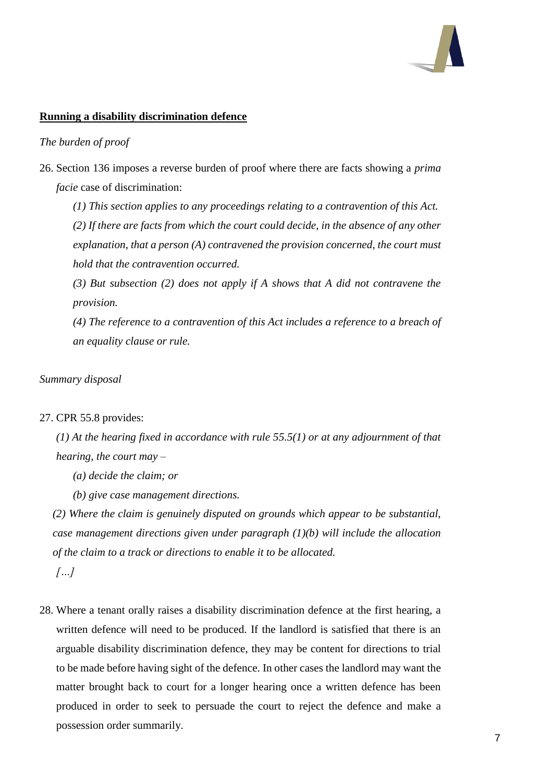

### **Running a disability discrimination defence**

# *The burden of proof*

26. Section 136 imposes a reverse burden of proof where there are facts showing a *prima facie* case of discrimination:

*(1) This section applies to any proceedings relating to a contravention of this Act.*

*(2) If there are facts from which the court could decide, in the absence of any other explanation, that a person (A) contravened the provision concerned, the court must hold that the contravention occurred.*

*(3) But subsection (2) does not apply if A shows that A did not contravene the provision.*

*(4) The reference to a contravention of this Act includes a reference to a breach of an equality clause or rule.*

#### *Summary disposal*

#### 27. CPR 55.8 provides:

*(1) At the hearing fixed in accordance with rule 55.5(1) or at any adjournment of that hearing, the court may –*

- *(a) decide the claim; or*
- *(b) give case management directions.*

*(2) Where the claim is genuinely disputed on grounds which appear to be substantial, case management directions given under paragraph (1)(b) will include the allocation of the claim to a track or directions to enable it to be allocated. […]*

28. Where a tenant orally raises a disability discrimination defence at the first hearing, a written defence will need to be produced. If the landlord is satisfied that there is an arguable disability discrimination defence, they may be content for directions to trial to be made before having sight of the defence. In other cases the landlord may want the matter brought back to court for a longer hearing once a written defence has been produced in order to seek to persuade the court to reject the defence and make a possession order summarily.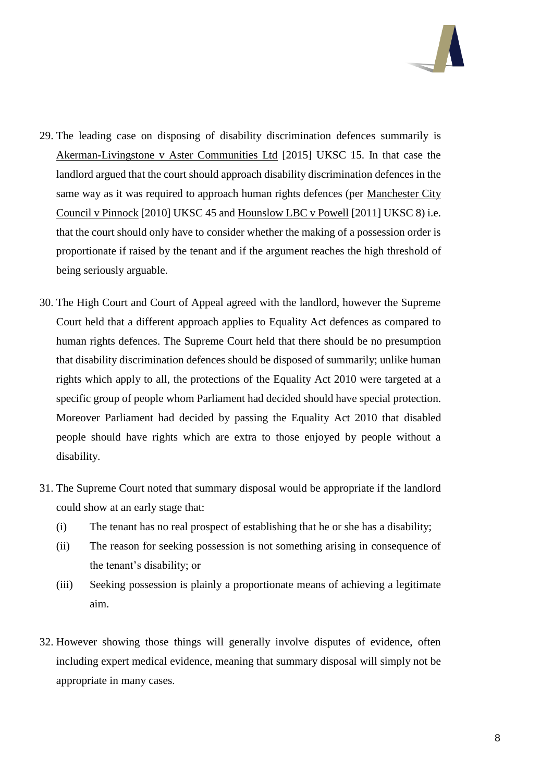

- 29. The leading case on disposing of disability discrimination defences summarily is Akerman-Livingstone v Aster Communities Ltd [2015] UKSC 15. In that case the landlord argued that the court should approach disability discrimination defences in the same way as it was required to approach human rights defences (per Manchester City Council v Pinnock [2010] UKSC 45 and Hounslow LBC v Powell [2011] UKSC 8) i.e. that the court should only have to consider whether the making of a possession order is proportionate if raised by the tenant and if the argument reaches the high threshold of being seriously arguable.
- 30. The High Court and Court of Appeal agreed with the landlord, however the Supreme Court held that a different approach applies to Equality Act defences as compared to human rights defences. The Supreme Court held that there should be no presumption that disability discrimination defences should be disposed of summarily; unlike human rights which apply to all, the protections of the Equality Act 2010 were targeted at a specific group of people whom Parliament had decided should have special protection. Moreover Parliament had decided by passing the Equality Act 2010 that disabled people should have rights which are extra to those enjoyed by people without a disability.
- 31. The Supreme Court noted that summary disposal would be appropriate if the landlord could show at an early stage that:
	- (i) The tenant has no real prospect of establishing that he or she has a disability;
	- (ii) The reason for seeking possession is not something arising in consequence of the tenant's disability; or
	- (iii) Seeking possession is plainly a proportionate means of achieving a legitimate aim.
- 32. However showing those things will generally involve disputes of evidence, often including expert medical evidence, meaning that summary disposal will simply not be appropriate in many cases.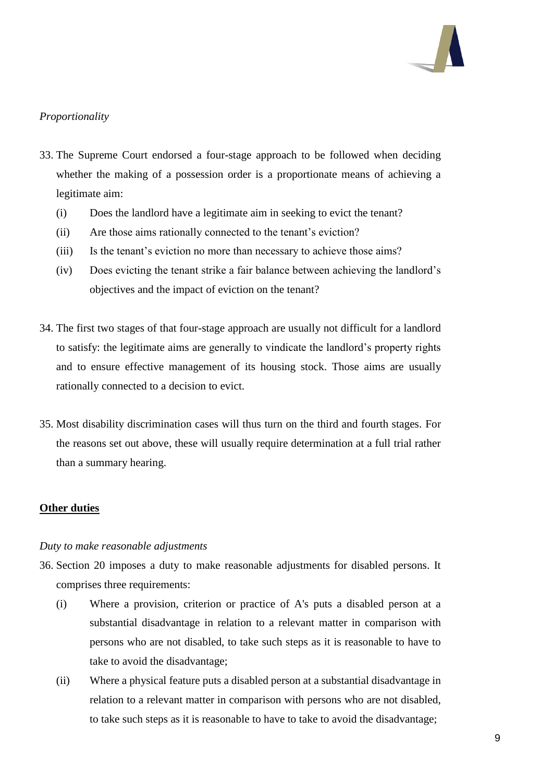

# *Proportionality*

- 33. The Supreme Court endorsed a four-stage approach to be followed when deciding whether the making of a possession order is a proportionate means of achieving a legitimate aim:
	- (i) Does the landlord have a legitimate aim in seeking to evict the tenant?
	- (ii) Are those aims rationally connected to the tenant's eviction?
	- (iii) Is the tenant's eviction no more than necessary to achieve those aims?
	- (iv) Does evicting the tenant strike a fair balance between achieving the landlord's objectives and the impact of eviction on the tenant?
- 34. The first two stages of that four-stage approach are usually not difficult for a landlord to satisfy: the legitimate aims are generally to vindicate the landlord's property rights and to ensure effective management of its housing stock. Those aims are usually rationally connected to a decision to evict.
- 35. Most disability discrimination cases will thus turn on the third and fourth stages. For the reasons set out above, these will usually require determination at a full trial rather than a summary hearing.

#### **Other duties**

#### *Duty to make reasonable adjustments*

- 36. Section 20 imposes a duty to make reasonable adjustments for disabled persons. It comprises three requirements:
	- (i) Where a provision, criterion or practice of A's puts a disabled person at a substantial disadvantage in relation to a relevant matter in comparison with persons who are not disabled, to take such steps as it is reasonable to have to take to avoid the disadvantage;
	- (ii) Where a physical feature puts a disabled person at a substantial disadvantage in relation to a relevant matter in comparison with persons who are not disabled, to take such steps as it is reasonable to have to take to avoid the disadvantage;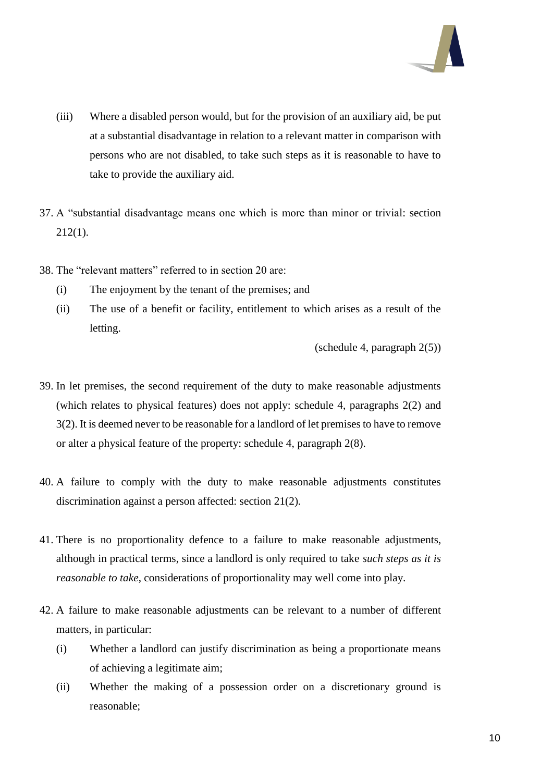

- (iii) Where a disabled person would, but for the provision of an auxiliary aid, be put at a substantial disadvantage in relation to a relevant matter in comparison with persons who are not disabled, to take such steps as it is reasonable to have to take to provide the auxiliary aid.
- 37. A "substantial disadvantage means one which is more than minor or trivial: section 212(1).
- 38. The "relevant matters" referred to in section 20 are:
	- (i) The enjoyment by the tenant of the premises; and
	- (ii) The use of a benefit or facility, entitlement to which arises as a result of the letting.

(schedule 4, paragraph 2(5))

- 39. In let premises, the second requirement of the duty to make reasonable adjustments (which relates to physical features) does not apply: schedule 4, paragraphs 2(2) and 3(2). It is deemed never to be reasonable for a landlord of let premises to have to remove or alter a physical feature of the property: schedule 4, paragraph 2(8).
- 40. A failure to comply with the duty to make reasonable adjustments constitutes discrimination against a person affected: section 21(2).
- 41. There is no proportionality defence to a failure to make reasonable adjustments, although in practical terms, since a landlord is only required to take *such steps as it is reasonable to take*, considerations of proportionality may well come into play.
- 42. A failure to make reasonable adjustments can be relevant to a number of different matters, in particular:
	- (i) Whether a landlord can justify discrimination as being a proportionate means of achieving a legitimate aim;
	- (ii) Whether the making of a possession order on a discretionary ground is reasonable;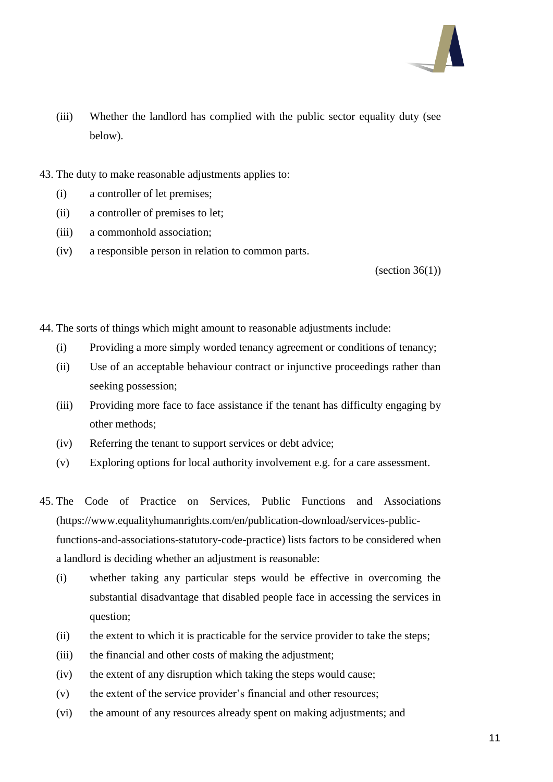

- (iii) Whether the landlord has complied with the public sector equality duty (see below).
- 43. The duty to make reasonable adjustments applies to:
	- (i) a controller of let premises;
	- (ii) a controller of premises to let;
	- (iii) a commonhold association;
	- (iv) a responsible person in relation to common parts.

 $\text{(section 36(1))}$ 

44. The sorts of things which might amount to reasonable adjustments include:

- (i) Providing a more simply worded tenancy agreement or conditions of tenancy;
- (ii) Use of an acceptable behaviour contract or injunctive proceedings rather than seeking possession;
- (iii) Providing more face to face assistance if the tenant has difficulty engaging by other methods;
- (iv) Referring the tenant to support services or debt advice;
- (v) Exploring options for local authority involvement e.g. for a care assessment.
- 45. The Code of Practice on Services, Public Functions and Associations (https://www.equalityhumanrights.com/en/publication-download/services-publicfunctions-and-associations-statutory-code-practice) lists factors to be considered when a landlord is deciding whether an adjustment is reasonable:
	- (i) whether taking any particular steps would be effective in overcoming the substantial disadvantage that disabled people face in accessing the services in question;
	- (ii) the extent to which it is practicable for the service provider to take the steps;
	- (iii) the financial and other costs of making the adjustment;
	- (iv) the extent of any disruption which taking the steps would cause;
	- (v) the extent of the service provider's financial and other resources;
	- (vi) the amount of any resources already spent on making adjustments; and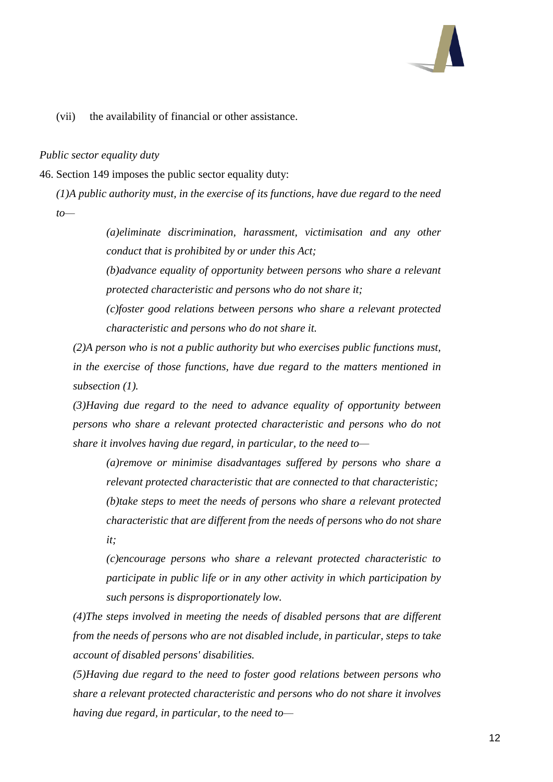

(vii) the availability of financial or other assistance.

#### *Public sector equality duty*

46. Section 149 imposes the public sector equality duty:

*(1)A public authority must, in the exercise of its functions, have due regard to the need to—*

> *(a)eliminate discrimination, harassment, victimisation and any other conduct that is prohibited by or under this Act;*

> *(b)advance equality of opportunity between persons who share a relevant protected characteristic and persons who do not share it;*

> *(c)foster good relations between persons who share a relevant protected characteristic and persons who do not share it.*

*(2)A person who is not a public authority but who exercises public functions must, in the exercise of those functions, have due regard to the matters mentioned in subsection (1).*

*(3)Having due regard to the need to advance equality of opportunity between persons who share a relevant protected characteristic and persons who do not share it involves having due regard, in particular, to the need to—*

*(a)remove or minimise disadvantages suffered by persons who share a relevant protected characteristic that are connected to that characteristic; (b)take steps to meet the needs of persons who share a relevant protected characteristic that are different from the needs of persons who do not share it;*

*(c)encourage persons who share a relevant protected characteristic to participate in public life or in any other activity in which participation by such persons is disproportionately low.*

*(4)The steps involved in meeting the needs of disabled persons that are different from the needs of persons who are not disabled include, in particular, steps to take account of disabled persons' disabilities.*

*(5)Having due regard to the need to foster good relations between persons who share a relevant protected characteristic and persons who do not share it involves having due regard, in particular, to the need to—*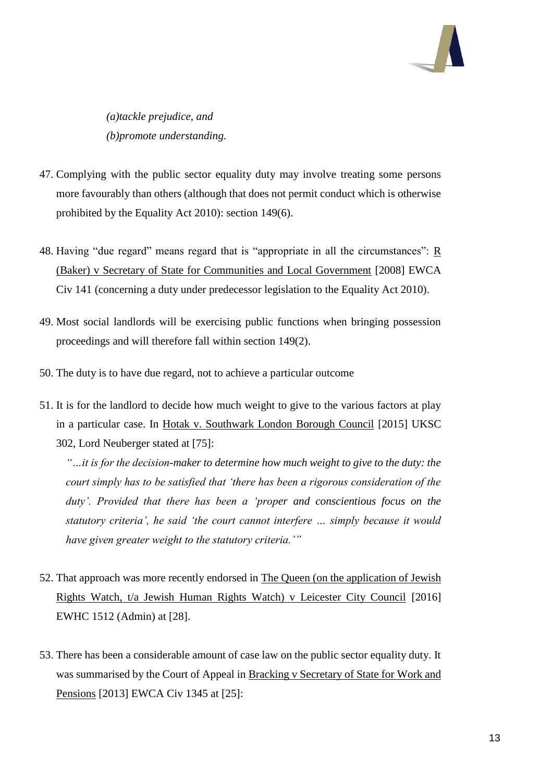

*(a)tackle prejudice, and (b)promote understanding.*

- 47. Complying with the public sector equality duty may involve treating some persons more favourably than others (although that does not permit conduct which is otherwise prohibited by the Equality Act 2010): section 149(6).
- 48. Having "due regard" means regard that is "appropriate in all the circumstances": R (Baker) v Secretary of State for Communities and Local Government [2008] EWCA Civ 141 (concerning a duty under predecessor legislation to the Equality Act 2010).
- 49. Most social landlords will be exercising public functions when bringing possession proceedings and will therefore fall within section 149(2).
- 50. The duty is to have due regard, not to achieve a particular outcome
- 51. It is for the landlord to decide how much weight to give to the various factors at play in a particular case. In Hotak v. Southwark London Borough Council [2015] UKSC 302, Lord Neuberger stated at [75]:

*"…it is for the decision-maker to determine how much weight to give to the duty: the court simply has to be satisfied that 'there has been a rigorous consideration of the duty'. Provided that there has been a 'proper and conscientious focus on the statutory criteria', he said 'the court cannot interfere … simply because it would have given greater weight to the statutory criteria.'"*

- 52. That approach was more recently endorsed in The Queen (on the application of Jewish Rights Watch, t/a Jewish Human Rights Watch) v Leicester City Council [2016] EWHC 1512 (Admin) at [28].
- 53. There has been a considerable amount of case law on the public sector equality duty. It was summarised by the Court of Appeal in Bracking v Secretary of State for Work and Pensions [2013] EWCA Civ 1345 at [25]: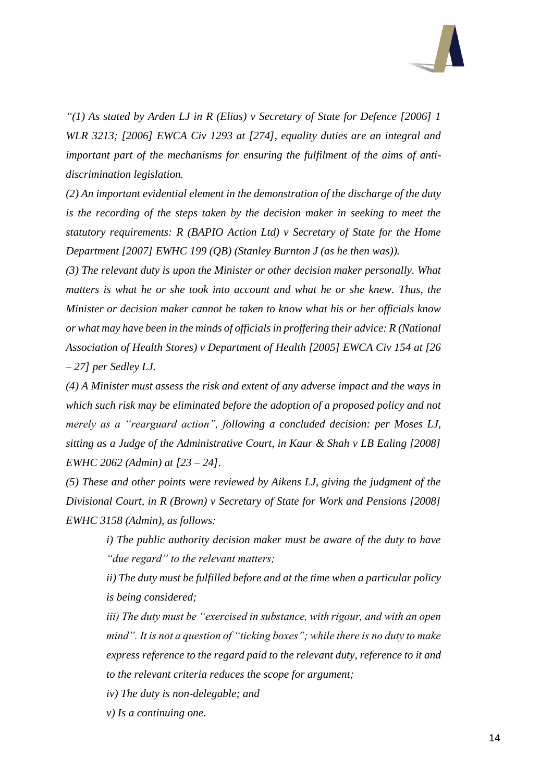

*"(1) As stated by Arden LJ in R (Elias) v Secretary of State for Defence [2006] 1 WLR 3213; [2006] EWCA Civ 1293 at [274], equality duties are an integral and important part of the mechanisms for ensuring the fulfilment of the aims of antidiscrimination legislation.*

*(2) An important evidential element in the demonstration of the discharge of the duty is the recording of the steps taken by the decision maker in seeking to meet the statutory requirements: R (BAPIO Action Ltd) v Secretary of State for the Home Department [2007] EWHC 199 (QB) (Stanley Burnton J (as he then was)).*

*(3) The relevant duty is upon the Minister or other decision maker personally. What matters is what he or she took into account and what he or she knew. Thus, the Minister or decision maker cannot be taken to know what his or her officials know or what may have been in the minds of officials in proffering their advice: R (National Association of Health Stores) v Department of Health [2005] EWCA Civ 154 at [26 – 27] per Sedley LJ.*

*(4) A Minister must assess the risk and extent of any adverse impact and the ways in which such risk may be eliminated before the adoption of a proposed policy and not merely as a "rearguard action", following a concluded decision: per Moses LJ, sitting as a Judge of the Administrative Court, in Kaur & Shah v LB Ealing [2008] EWHC 2062 (Admin) at [23 – 24].*

*(5) These and other points were reviewed by Aikens LJ, giving the judgment of the Divisional Court, in R (Brown) v Secretary of State for Work and Pensions [2008] EWHC 3158 (Admin), as follows:*

> *i) The public authority decision maker must be aware of the duty to have "due regard" to the relevant matters;*

> *ii) The duty must be fulfilled before and at the time when a particular policy is being considered;*

> *iii) The duty must be "exercised in substance, with rigour, and with an open mind". It is not a question of "ticking boxes"; while there is no duty to make express reference to the regard paid to the relevant duty, reference to it and to the relevant criteria reduces the scope for argument;*

*iv) The duty is non-delegable; and*

*v) Is a continuing one.*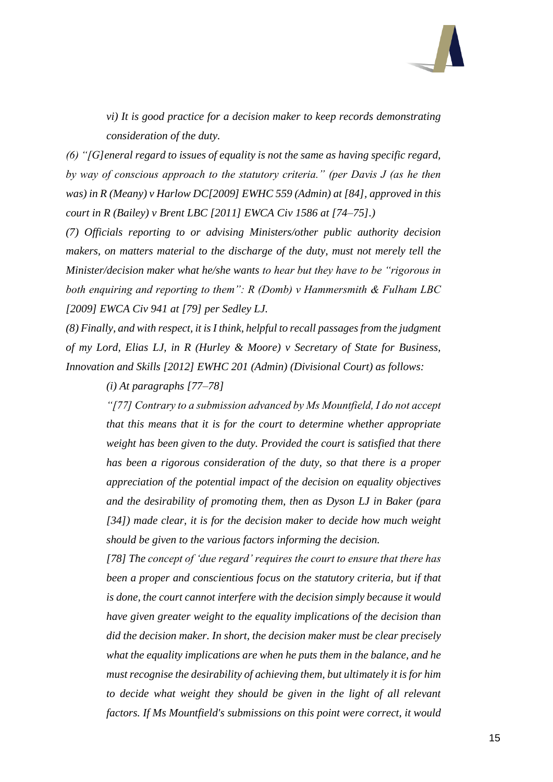

*vi) It is good practice for a decision maker to keep records demonstrating consideration of the duty.*

*(6) "[G]eneral regard to issues of equality is not the same as having specific regard, by way of conscious approach to the statutory criteria." (per Davis J (as he then was) in R (Meany) v Harlow DC[2009] EWHC 559 (Admin) at [84], approved in this court in R (Bailey) v Brent LBC [2011] EWCA Civ 1586 at [74–75].)*

*(7) Officials reporting to or advising Ministers/other public authority decision makers, on matters material to the discharge of the duty, must not merely tell the Minister/decision maker what he/she wants to hear but they have to be "rigorous in both enquiring and reporting to them": R (Domb) v Hammersmith & Fulham LBC [2009] EWCA Civ 941 at [79] per Sedley LJ.*

*(8) Finally, and with respect, it is I think, helpful to recall passages from the judgment of my Lord, Elias LJ, in R (Hurley & Moore) v Secretary of State for Business, Innovation and Skills [2012] EWHC 201 (Admin) (Divisional Court) as follows:*

*(i) At paragraphs [77–78]*

*"[77] Contrary to a submission advanced by Ms Mountfield, I do not accept that this means that it is for the court to determine whether appropriate weight has been given to the duty. Provided the court is satisfied that there has been a rigorous consideration of the duty, so that there is a proper appreciation of the potential impact of the decision on equality objectives and the desirability of promoting them, then as Dyson LJ in Baker (para [34]) made clear, it is for the decision maker to decide how much weight should be given to the various factors informing the decision.*

*[78] The concept of 'due regard' requires the court to ensure that there has been a proper and conscientious focus on the statutory criteria, but if that is done, the court cannot interfere with the decision simply because it would have given greater weight to the equality implications of the decision than did the decision maker. In short, the decision maker must be clear precisely what the equality implications are when he puts them in the balance, and he must recognise the desirability of achieving them, but ultimately it is for him to decide what weight they should be given in the light of all relevant factors. If Ms Mountfield's submissions on this point were correct, it would*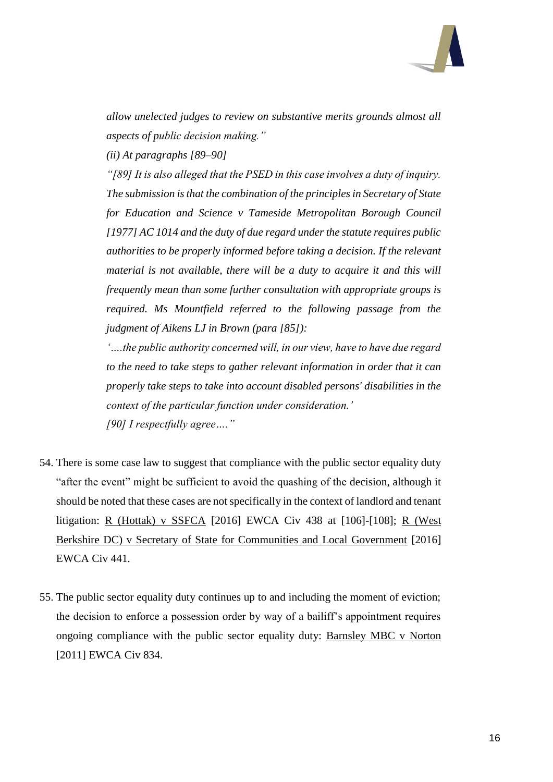

*allow unelected judges to review on substantive merits grounds almost all aspects of public decision making."*

*(ii) At paragraphs [89–90]*

*"[89] It is also alleged that the PSED in this case involves a duty of inquiry. The submission is that the combination of the principles in Secretary of State for Education and Science v Tameside Metropolitan Borough Council [1977] AC 1014 and the duty of due regard under the statute requires public authorities to be properly informed before taking a decision. If the relevant material is not available, there will be a duty to acquire it and this will frequently mean than some further consultation with appropriate groups is required. Ms Mountfield referred to the following passage from the judgment of Aikens LJ in Brown (para [85]):*

*'….the public authority concerned will, in our view, have to have due regard to the need to take steps to gather relevant information in order that it can properly take steps to take into account disabled persons' disabilities in the context of the particular function under consideration.' [90] I respectfully agree…."*

- 54. There is some case law to suggest that compliance with the public sector equality duty "after the event" might be sufficient to avoid the quashing of the decision, although it should be noted that these cases are not specifically in the context of landlord and tenant litigation: R (Hottak) v SSFCA [2016] EWCA Civ 438 at [106]-[108]; R (West Berkshire DC) v Secretary of State for Communities and Local Government [2016] EWCA Civ 441.
- 55. The public sector equality duty continues up to and including the moment of eviction; the decision to enforce a possession order by way of a bailiff's appointment requires ongoing compliance with the public sector equality duty: Barnsley MBC v Norton [2011] EWCA Civ 834.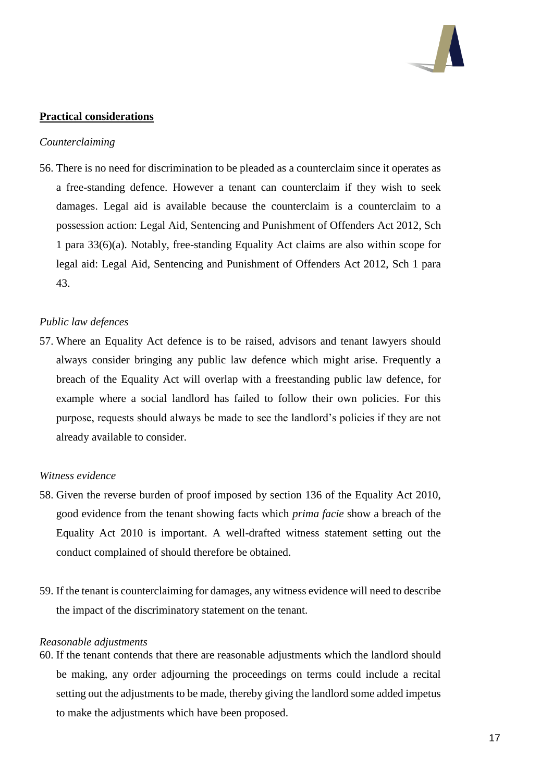

### **Practical considerations**

#### *Counterclaiming*

56. There is no need for discrimination to be pleaded as a counterclaim since it operates as a free-standing defence. However a tenant can counterclaim if they wish to seek damages. Legal aid is available because the counterclaim is a counterclaim to a possession action: Legal Aid, Sentencing and Punishment of Offenders Act 2012, Sch 1 para 33(6)(a). Notably, free-standing Equality Act claims are also within scope for legal aid: Legal Aid, Sentencing and Punishment of Offenders Act 2012, Sch 1 para 43.

#### *Public law defences*

57. Where an Equality Act defence is to be raised, advisors and tenant lawyers should always consider bringing any public law defence which might arise. Frequently a breach of the Equality Act will overlap with a freestanding public law defence, for example where a social landlord has failed to follow their own policies. For this purpose, requests should always be made to see the landlord's policies if they are not already available to consider.

#### *Witness evidence*

- 58. Given the reverse burden of proof imposed by section 136 of the Equality Act 2010, good evidence from the tenant showing facts which *prima facie* show a breach of the Equality Act 2010 is important. A well-drafted witness statement setting out the conduct complained of should therefore be obtained.
- 59. If the tenant is counterclaiming for damages, any witness evidence will need to describe the impact of the discriminatory statement on the tenant.

#### *Reasonable adjustments*

60. If the tenant contends that there are reasonable adjustments which the landlord should be making, any order adjourning the proceedings on terms could include a recital setting out the adjustments to be made, thereby giving the landlord some added impetus to make the adjustments which have been proposed.